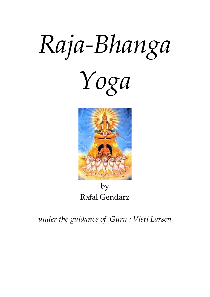# Raja-Bhanga





by Rafal Gendarz

under the guidance of Guru : Visti Larsen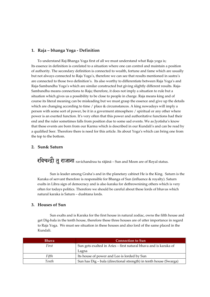#### 1. Raja – bhanga Yoga - Definition

To understand Raj-Bhanga Yoga first of all we must understand what Raja yoga is; Its essence in definition is corelated to a situation where one can control and maintain a position of authority. The secondary definition is connected to wealth, fortune and fame which are usually but not always connected to Raja Yoga's, therefore we can see that results mentioned in sastra's are connected to those two definition's. Its also worthy to differentiate between Raja Yoga's and Raja-Sambandha Yoga's which are similar constructed but giving slightly different results. Raja-Sambandha means connections to Raja; therefore, it does not imply a situation to rule but a situation which gives us a possibility to be close to people in charge. Raja means king and of course its literal meaning can be misleading but we must grasp the essence and give up the details which are changing according to time / place & circumstances. A king nowadays will imply a person with some sort of power, be it in a goverment atmosphere / spiritual or any other where power is an exerted function. It's very often that this power and authoritative functions had their end and the ruler sometimes falls from position due to some sad events. We as Jyotisha's know that these events are born from our Karma which is described in our Kundali's and can be read by a qualified Seer. Therefore there is need for this article. Its about Yoga's which can bring one from the top to the bottom.

#### 2. Sun& Saturn

रविचन्द्रो तु राजाना ravichandrau tu rājānā – Sun and Moon are of Royal status.

Sun is leader among Graha's and in the planetary cabinet He is the King. Saturn is the Karaka of servant therefore is responsible for Bhanga of Sun (influence & royalty). Saturn exalts in Libra sign of democracy and is also karaka for dethrownining others which is very often for todays politics. Therefore we should be careful about these lords of bhavas which natural karaka is Saturn – dushtana lords.

#### 3. Houses of Sun

Sun exalts and is Karaka for the first house in natural zodiac, owns the fifth house and get Dig-bala in the tenth house, therefore these three houses are of utter importance in regard to Raja Yoga. We must see situation in these houses and also lord of the same placed in the Kundali.

| <b>Bhava</b> | <b>Connection to Sun</b>                                          |
|--------------|-------------------------------------------------------------------|
| First        | Sun gets exalted in Aries – first natural bhava and is karaka of  |
|              | Lagna                                                             |
| Fifth        | Its house of power and Leo is lorded by Sun                       |
| Tenth        | Sun has Dig – bala (directional strength) in tenth house (Swarga) |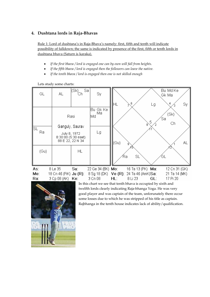# 4. Dushtana lords in Raja-Bhavas

Rule 1: Lord of dushtana's in Raja-Bhava's namely: first, fifth and tenth will indicate possibility of falldown; the same is indicated by presence of the first, fifth or tenth lords in dushtana bhava (Saturn is karaka).

- If the first bhava / lord is engaged one can by own will fall from heights.
- If the fifth bhava / lord is engaged then the followers can leave the native.
- If the tenth bhava / lord is engaged then one is not skilled enough

Lets study some charts:<br>  $A_L$  (Sk)<br>
Ch Sa Bu Md Ke GL **AL** Sv Gk Ma  $\overline{6}$ HL  $\overline{A}$ Lg Sv ↷ Bu Gk Ke Ma  $(Sk)$ lMd Rasi ′sа 5 Ch 2 8 Ganguly, Saurav SL Ra Lg July 8, 1972 8:30:00 (5:30 east) 88 E 22, 22 N 34 (Gu) **AL** HL  $(Gu)$ SL ĠL Ŕa

22 Ge 34 (BK) Mo: 16 Ta 13 (PK) Ma: As: 8 Le 35 Su: 12 Cn 31 (GK) 18 Cn 46 (PiK) Ju (R): 8 Sg 18 (DK) Me: Ve (R): 24 Ta 46 (AmK)Sa: 21 Ta 14 (MK) Ra: 3 Cp 08 (AK) Ke: 3 Cn 08 HL: 8 Li 23 GL: 17 Pi 20



In this chart we see that tenth bhava is occupied by sixth and twelfth lords clearly indicating Raja-bhanga Yoga. He was very good player and was captain of the team, unforunately there occur some losses due to which he was stripped of his title as captain. Rajbhanga in the tenth house indicates lack of ability/qualification.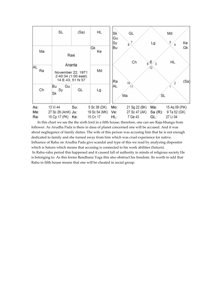

 In this chart we see the the sixth lord in a fifth house; therefore, one can see Raja-bhanga from follower. As Arudha Pada is there in dasa of planet concerned one will be accused. And it was about negliegence of family duties. The wife of this person was accusing him that he is not enough dedicated to family and she turned away from him which was cruel experience for native. Influence of Rahu on Arudha Pada give scandal and type of this we read by analyzing dispositor which is Saturn which means that accusing is connected to his work abilities (Saturn). In Rahu-rahu period this happened and it caused fall of authority in minds of religious society He is belonging to. As this forms Bandhana Yoga this also obstruct his freedom. Its worth to add that Rahu in fifth house means that one will be cheated in social group.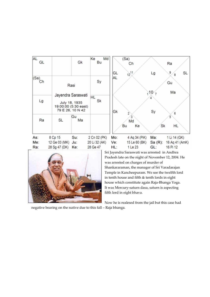



Sri Jayendra Saraswati was arrested in Andhra Pradesh late on the night of November 12, 2004. He was arrested on charges of murder of Shankararaman, the manager of Sri Varadarajan Temple in Kancheepuram. We see the twelfth lord in tenth house and fifth & tenth lords in eight house which constitute again Raja-Bhanga Yoga. It was Mercury-saturn dasa, saturn is aspecting fifth lord in eight bhava.

Now he is realesed from the jail but this case had

negative bearing on the native due to this fall – Raja bhanga.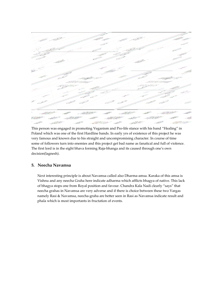

This person was engaged in promoting Veganism and Pro-life stance with his band "Healing" in Poland which was one of the first Hardline bands. In early yrs of existence of this project he was very famous and known due to his straight and uncompromising character. In course of time some of followers turn into enemies and this project get bad name as fanatical and full of violence. The first lord is in the eight bhava forming Raja-bhanga and its caused through one's own decision(lagnesh).

## 5. Neecha Navamsa

Next interesting principle is about Navamsa called also Dharma-amsa. Karaka of this amsa is Vishnu and any neecha Graha here indicate adharma which afflicts bhagya of native. This lack of bhagya stops one from Royal position and favour. Chandra Kala Nadi clearly "says" that neecha grahas in Navamsa are very adverse and if there is choice between these two Vargas namely Rasi & Navamsa, neecha-graha are better seen in Rasi as Navamsa indicate result and phala which is most importants in fructation of events.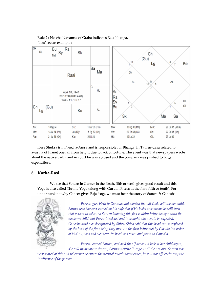Rule 2 : Neecha Navamsa of Graha indicates Raja-bhanga.



 Here Shukra is in Neecha-Amsa and is responsible for Bhanga. In Taurus-dasa related to avastha of Planet one fall from height due to lack of fortune. The event was that newspapers wrote about the native badly and in court he was accused and the company was pushed to large expenditure.

## 6. Karka-Rasi

We see that Saturn in Cancer in the firsth, fifth or tenth gives good result and this Yoga is also called Throne-Yoga (along with Guru in Pisces in the first, fifth or tenth). For understanding why Cancer gives Raja Yoga we must hear the story of Saturn & Ganesha.



Parvati give birth to Ganesha and wanted that all Gods will see her child. Saturn was however cursed by his wife that if He looks at someone he will turn that person to ashes, so Saturn knowing this fact couldnt bring his eyes unto the newborn child, but Parvati insisted and it brought what could be expected. Ganesha head was decapitated by Shiva. Shiva said that this head can be replaced by the head of the first being they met. As the first being met by Garuda (on order of Vishnu) was and elephant, its head was taken and given to Ganesha.

Parvati cursed Saturn, and said that if he would look at her child again, she will incarnate to destroy Saturn's entire lineage until the pralaya. Saturn was

very scared of this and whenever he enters the natural fourth house cance, he will not afflict/destroy the inteligence of the person.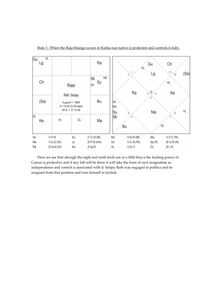| Gu  | SL<br>Lg   |                                                                           |      | Ra                   |                | SL<br>2        | Gu<br>Lg     | Сh<br>11<br>10 |
|-----|------------|---------------------------------------------------------------------------|------|----------------------|----------------|----------------|--------------|----------------|
|     | Ch<br>Rasi |                                                                           |      | Md<br>Sk<br>Sy<br>Gk |                | Ra             | 12<br>3<br>ĝ | AL<br>Ke       |
|     | (Sa)       | Rath, Sanjay<br>August 7, 1963<br>21:15:00 (5:30 east)<br>84 E 1, 21 N 28 |      | Bu                   | Gk<br>Md<br>Sy |                | 6<br>Ма      | 8              |
| AL  | Ke         | HL                                                                        | GL   | Ma                   | Sk             | 5<br>Bu        |              | GL             |
| As: |            | 14 Pi 09                                                                  | Su:  | 21 Cn 05 (BK)        | Mo:            | 19 Ag 59 (MK)  | Ma:          | 13 Vi 41 (PK)  |
| Me: |            | 13 Le 23 (GK)                                                             | Jut. | 26 Pi 08 (AmK)       | Ve:            | 14 Cn 56 (PiK) | Sa (R):      | 26 Cp 50 (AK)  |
| Rac |            | 25 Ge 46 (DK)                                                             | Ke:  | 25 Sg 46             | HL:            | 12 Sc 12       | GL:          | 29 Li 49       |

Rule 3 : When the Raja-bhanga occurs in Karka-rasi native is protected and controls it fully.

 Here we see that altough the eight and sixth lords are in a fifth bhava the healing power of Cancer is protective and if any fall will be there it will take the form of own resignation as independence and control is associated with it. Sanjay Rath was engaged in politics and he resigned from that position and turn himself to Jyotish.